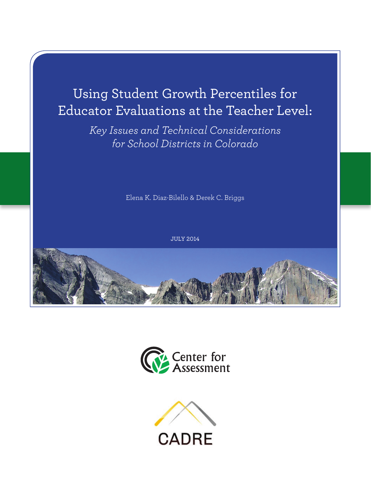# Using Student Growth Percentiles for Educator Evaluations at the Teacher Level:

*Key Issues and Technical Considerations for School Districts in Colorado*

Elena K. Diaz-Bilello & Derek C. Briggs

JULY 2014





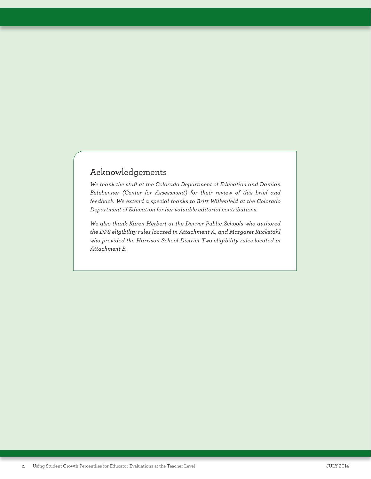### Acknowledgements

*We thank the staff at the Colorado Department of Education and Damian Betebenner (Center for Assessment) for their review of this brief and feedback. We extend a special thanks to Britt Wilkenfeld at the Colorado Department of Education for her valuable editorial contributions.*

*We also thank Karen Herbert at the Denver Public Schools who authored the DPS eligibility rules located in Attachment A, and Margaret Ruckstahl who provided the Harrison School District Two eligibility rules located in Attachment B.*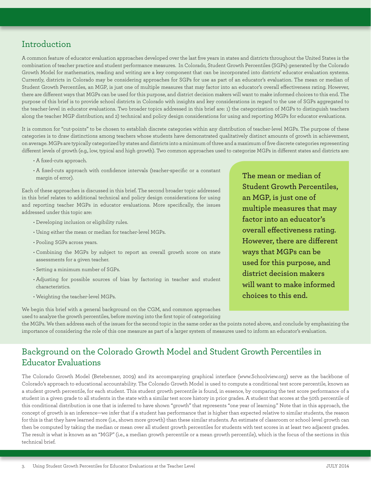### Introduction

A common feature of educator evaluation approaches developed over the last five years in states and districts throughout the United States is the combination of teacher practice and student performance measures. In Colorado, Student Growth Percentiles (SGPs) generated by the Colorado Growth Model for mathematics, reading and writing are a key component that can be incorporated into districts' educator evaluation systems. Currently, districts in Colorado may be considering approaches for SGPs for use as part of an educator's evaluation. The mean or median of Student Growth Percentiles, an MGP, is just one of multiple measures that may factor into an educator's overall effectiveness rating. However, there are different ways that MGPs can be used for this purpose, and district decision makers will want to make informed choices to this end. The purpose of this brief is to provide school districts in Colorado with insights and key considerations in regard to the use of SGPs aggregated to the teacher-level in educator evaluations. Two broader topics addressed in this brief are: 1) the categorization of MGPs to distinguish teachers along the teacher MGP distribution; and 2) technical and policy design considerations for using and reporting MGPs for educator evaluations.

It is common for "cut-points" to be chosen to establish discrete categories within any distribution of teacher-level MGPs. The purpose of these categories is to draw distinctions among teachers whose students have demonstrated qualitatively distinct amounts of growth in achievement, on average. MGPs are typically categorized by states and districts into a minimum of three and a maximum of five discrete categories representing different levels of growth (e.g., low, typical and high growth). Two common approaches used to categorize MGPs in different states and districts are:

- A fixed-cuts approach.
- A fixed-cuts approach with confidence intervals (teacher-specific or a constant margin of error).

Each of these approaches is discussed in this brief. The second broader topic addressed in this brief relates to additional technical and policy design considerations for using and reporting teacher MGPs in educator evaluations. More specifically, the issues addressed under this topic are:

- Developing inclusion or eligibility rules.
- Using either the mean or median for teacher-level MGPs.
- Pooling SGPs across years.
- Combining the MGPs by subject to report an overall growth score on state assessments for a given teacher.
- Setting a minimum number of SGPs.
- Adjusting for possible sources of bias by factoring in teacher and student characteristics.
- Weighting the teacher-level MGPs.

We begin this brief with a general background on the CGM, and common approaches used to analyze the growth percentiles, before moving into the first topic of categorizing **The mean or median of Student Growth Percentiles, an MGP, is just one of multiple measures that may factor into an educator's overall effectiveness rating. However, there are different ways that MGPs can be used for this purpose, and district decision makers will want to make informed choices to this end.**

the MGPs. We then address each of the issues for the second topic in the same order as the points noted above, and conclude by emphasizing the importance of considering the role of this one measure as part of a larger system of measures used to inform an educator's evaluation.

## Background on the Colorado Growth Model and Student Growth Percentiles in Educator Evaluations

The Colorado Growth Model (Betebenner, 2009) and its accompanying graphical interface (www.Schoolview.org) serve as the backbone of Colorado's approach to educational accountability. The Colorado Growth Model is used to compute a conditional test score percentile, known as a student growth percentile, for each student. This student growth percentile is found, in essence, by comparing the test score performance of a student in a given grade to all students in the state with a similar test score history in prior grades. A student that scores at the 50th percentile of this conditional distribution is one that is inferred to have shown "growth" that represents "one year of learning." Note that in this approach, the concept of growth is an inference—we infer that if a student has performance that is higher than expected relative to similar students, the reason for this is that they have learned more (i.e., shown more growth) than these similar students. An estimate of classroom or school-level growth can then be computed by taking the median or mean over all student growth percentiles for students with test scores in at least two adjacent grades. The result is what is known as an "MGP" (i.e., a median growth percentile or a mean growth percentile), which is the focus of the sections in this technical brief.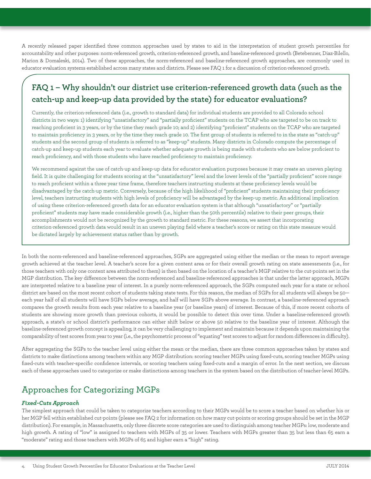A recently released paper identified three common approaches used by states to aid in the interpretation of student growth percentiles for accountability and other purposes: norm-referenced growth, criterion-referenced growth, and baseline-referenced growth (Betebenner, Diaz-Bilello, Marion & Domaleski, 2014). Two of these approaches, the norm-referenced and baseline-referenced growth approaches, are commonly used in educator evaluation systems established across many states and districts. Please see FAQ 1 for a discussion of criterion-referenced growth.

# **FAQ 1 – Why shouldn't our district use criterion-referenced growth data (such as the catch-up and keep-up data provided by the state) for educator evaluations?**

Currently, the criterion-referenced data (i.e., growth to standard data) for individual students are provided to all Colorado school districts in two ways: 1) identifying "unsatisfactory" and "partially proficient" students on the TCAP who are targeted to be on track to reaching proficient in 3 years, or by the time they reach grade 10; and 2) identifying "proficient" students on the TCAP who are targeted to maintain proficiency in 3 years, or by the time they reach grade 10. The first group of students is referred to in the state as "catch-up" students and the second group of students is referred to as "keep-up" students. Many districts in Colorado compute the percentage of catch-up and keep-up students each year to evaluate whether adequate growth is being made with students who are below proficient to reach proficiency, and with those students who have reached proficiency to maintain proficiency.

We recommend against the use of catch-up and keep-up data for educator evaluation purposes because it may create an uneven playing field. It is quite challenging for students scoring at the "unsatisfactory" level and the lower levels of the "partially proficient" score range to reach proficient within a three year time frame, therefore teachers instructing students at these proficiency levels would be disadvantaged by the catch-up metric. Conversely, because of the high likelihood of "proficient" students maintaining their proficiency level, teachers instructing students with high levels of proficiency will be advantaged by the keep-up metric. An additional implication of using these criterion-referenced growth data for an educator evaluation system is that although "unsatisfactory" or "partially proficient" students may have made considerable growth (i.e., higher than the 50th percentile) relative to their peer groups, their accomplishments would not be recognized by the growth to standard metric. For these reasons, we assert that incorporating criterion-referenced growth data would result in an uneven playing field where a teacher's score or rating on this state measure would be dictated largely by achievement status rather than by growth.

In both the norm-referenced and baseline-referenced approaches, SGPs are aggregated using either the median or the mean to report average growth achieved at the teacher level. A teacher's score for a given content area or for their overall growth rating on state assessments (i.e., for those teachers with only one content area attributed to them) is then based on the location of a teacher's MGP relative to the cut-points set in the MGP distribution. The key difference between the norm-referenced and baseline-referenced approaches is that under the latter approach, MGPs are interpreted relative to a baseline year of interest. In a purely norm-referenced approach, the SGPs computed each year for a state or school district are based on the most recent cohort of students taking state tests. For this reason, the median of SGPs for all students will always be 50 each year half of all students will have SGPs below average, and half will have SGPs above average. In contrast, a baseline-referenced approach compares the growth results from each year relative to a baseline year (or baseline years) of interest. Because of this, if more recent cohorts of students are showing more growth than previous cohorts, it would be possible to detect this over time. Under a baseline-referenced growth approach, a state's or school district's performance can either shift below or above 50 relative to the baseline year of interest. Although the baseline-referenced growth concept is appealing, it can be very challenging to implement and maintain because it depends upon maintaining the comparability of test scores from year to year (i.e., the psychometric process of "equating" test scores to adjust for random differences in difficulty).

After aggregating the SGPs to the teacher level using either the mean or the median, there are three common approaches taken by states and districts to make distinctions among teachers within any MGP distribution: scoring teacher MGPs using fixed-cuts, scoring teacher MGPs using fixed-cuts with teacher-specific confidence intervals, or scoring teachers using fixed-cuts and a margin of error. In the next section, we discuss each of these approaches used to categorize or make distinctions among teachers in the system based on the distribution of teacher-level MGPs.

# Approaches for Categorizing MGPs

#### *Fixed-Cuts Approach*

The simplest approach that could be taken to categorize teachers according to their MGPs would be to score a teacher based on whether his or her MGP fell within established cut-points (please see FAQ 2 for information on how many cut-points or scoring groups should be set in the MGP distribution). For example, in Massachusetts, only three discrete score categories are used to distinguish among teacher MGPs: low, moderate and high growth. A rating of "low" is assigned to teachers with MGPs of 35 or lower. Teachers with MGPs greater than 35 but less than 65 earn a "moderate" rating and those teachers with MGPs of 65 and higher earn a "high" rating.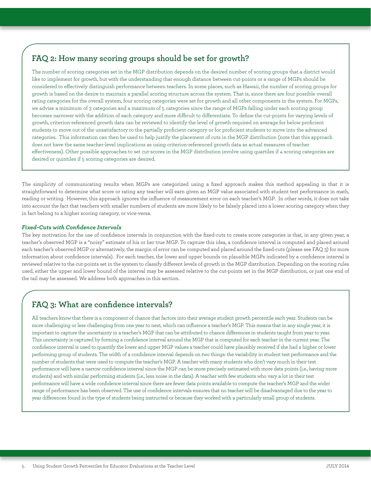### **FAQ 2: How many scoring groups should be set for growth?**

The number of scoring categories set in the MGP distribution depends on the desired number of scoring groups that a district would like to implement for growth, but with the understanding that enough distance between cut-points or a range of MGPs should be considered to effectively distinguish performance between teachers. In some places, such as Hawaii, the number of scoring groups for growth is based on the desire to maintain a parallel scoring structure across the system. That is, since there are four possible overall rating categories for the overall system, four scoring categories were set for growth and all other components in the system. For MGPs, we advise a minimum of 3 categories and a maximum of 5 categories since the range of MGPs falling under each scoring group becomes narrower with the addition of each category and more difficult to differentiate. To define the cut-points for varying levels of growth, criterion-referenced growth data can be reviewed to identify the level of growth required on average for below proficient students to move out of the unsatisfactory to the partially proficient category or for proficient students to move into the advanced categories. This information can then be used to help justify the placement of cuts in the MGP distribution (note that this approach does not have the same teacher-level implications as using criterion-referenced growth data as actual measures of teacher effectiveness). Other possible approaches to set cut-scores in the MGP distribution involve using quartiles if 4 scoring categories are desired or quintiles if 5 scoring categories are desired.

The simplicity of communicating results when MGPs are categorized using a fixed approach makes this method appealing in that it is straightforward to determine what score or rating any teacher will earn given an MGP value associated with student test performance in math, reading or writing. However, this approach ignores the influence of measurement error on each teacher's MGP. In other words, it does not take into account the fact that teachers with smaller numbers of students are more likely to be falsely placed into a lower scoring category when they in fact belong to a higher scoring category, or vice-versa.

#### *Fixed-Cuts with Confidence Intervals*

The key motivation for the use of confidence intervals in conjunction with the fixed-cuts to create score categories is that, in any given year, a teacher's observed MGP is a "noisy" estimate of his or her true MGP. To capture this idea, a confidence interval is computed and placed around each teacher's observed MGP or alternatively, the margin of error can be computed and placed around the fixed-cuts (please see FAQ 3) for more information about confidence intervals). For each teacher, the lower and upper bounds on plausible MGPs indicated by a confidence interval is reviewed relative to the cut-points set in the system to classify different levels of growth in the MGP distribution. Depending on the scoring rules used, either the upper and lower bound of the interval may be assessed relative to the cut-points set in the MGP distribution, or just one end of the tail may be assessed. We address both approaches in this section.

### **FAQ 3: What are confidence intervals?**

All teachers know that there is a component of chance that factors into their average student growth percentile each year. Students can be more challenging or less challenging from one year to next, which can influence a teacher's MGP. This means that in any single year, it is important to capture the uncertainty in a teacher's MGP that can be attributed to chance differences in students taught from year to year. This uncertainty is captured by forming a confidence interval around the MGP that is computed for each teacher in the current year. The confidence interval is used to quantify the lower and upper MGP values a teacher could have plausibly received if she had a higher or lower performing group of students. The width of a confidence interval depends on two things: the variability in student test performance and the number of students that were used to compute the teacher's MGP. A teacher with many students who don't vary much in their test performance will have a narrow confidence interval since the MGP can be more precisely estimated with more data points (i.e., having more students) and with similar performing students (i.e., less noise in the data). A teacher with few students who vary a lot in their test performance will have a wide confidence interval since there are fewer data points available to compute the teacher's MGP and the wider range of performance has been observed. The use of confidence intervals ensures that no teacher will be disadvantaged due to the year to year differences found in the type of students being instructed or because they worked with a particularly small group of students.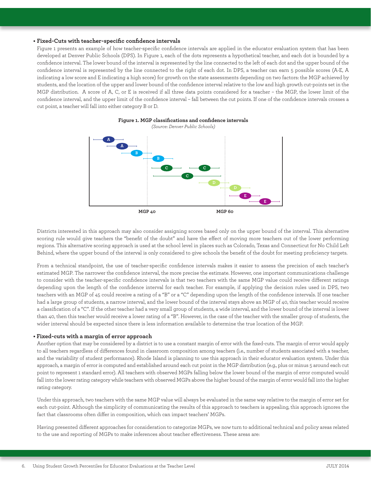#### **• Fixed-Cuts with teacher-specific confidence intervals**

Figure 1 presents an example of how teacher-specific confidence intervals are applied in the educator evaluation system that has been developed at Denver Public Schools (DPS). In Figure 1, each of the dots represents a hypothetical teacher, and each dot is bounded by a confidence interval. The lower bound of the interval is represented by the line connected to the left of each dot and the upper bound of the confidence interval is represented by the line connected to the right of each dot. In DPS, a teacher can earn 5 possible scores (A-E, A indicating a low score and E indicating a high score) for growth on the state assessments depending on two factors: the MGP achieved by students, and the location of the upper and lower bound of the confidence interval relative to the low and high growth cut-points set in the MGP distribution. A score of A, C, or E is received if all three data points considered for a teacher – the MGP, the lower limit of the confidence interval, and the upper limit of the confidence interval – fall between the cut points. If one of the confidence intervals crosses a cut point, a teacher will fall into either category B or D.



#### **Figure 1. MGP classifications and confidence intervals**  *(Source: Denver Public Schools)*

 Districts interested in this approach may also consider assigning scores based only on the upper bound of the interval. This alternative scoring rule would give teachers the "benefit of the doubt" and have the effect of moving more teachers out of the lower performing regions. This alternative scoring approach is used at the school level in places such as Colorado, Texas and Connecticut for No Child Left Behind, where the upper bound of the interval is only considered to give schools the benefit of the doubt for meeting proficiency targets.

 From a technical standpoint, the use of teacher-specific confidence intervals makes it easier to assess the precision of each teacher's estimated MGP. The narrower the confidence interval, the more precise the estimate. However, one important communications challenge to consider with the teacher-specific confidence intervals is that two teachers with the same MGP value could receive different ratings depending upon the length of the confidence interval for each teacher. For example, if applying the decision rules used in DPS, two teachers with an MGP of 45 could receive a rating of a "B" or a "C" depending upon the length of the confidence intervals. If one teacher had a large group of students, a narrow interval, and the lower bound of the interval stays above an MGP of 40, this teacher would receive a classification of a "C". If the other teacher had a very small group of students, a wide interval, and the lower bound of the interval is lower than 40, then this teacher would receive a lower rating of a "B". However, in the case of the teacher with the smaller group of students, the wider interval should be expected since there is less information available to determine the true location of the MGP.

#### **• Fixed-cuts with a margin of error approach**

 Another option that may be considered by a district is to use a constant margin of error with the fixed-cuts. The margin of error would apply to all teachers regardless of differences found in classroom composition among teachers (i.e., number of students associated with a teacher, and the variability of student performance). Rhode Island is planning to use this approach in their educator evaluation system. Under this approach, a margin of error is computed and established around each cut point in the MGP distribution (e.g., plus or minus 5 around each cut point to represent 1 standard error). All teachers with observed MGPs falling below the lower bound of the margin of error computed would fall into the lower rating category while teachers with observed MGPs above the higher bound of the margin of error would fall into the higher rating category.

 Under this approach, two teachers with the same MGP value will always be evaluated in the same way relative to the margin of error set for each cut-point. Although the simplicity of communicating the results of this approach to teachers is appealing, this approach ignores the fact that classrooms often differ in composition, which can impact teachers' MGPs.

 Having presented different approaches for consideration to categorize MGPs, we now turn to additional technical and policy areas related to the use and reporting of MGPs to make inferences about teacher effectiveness. These areas are: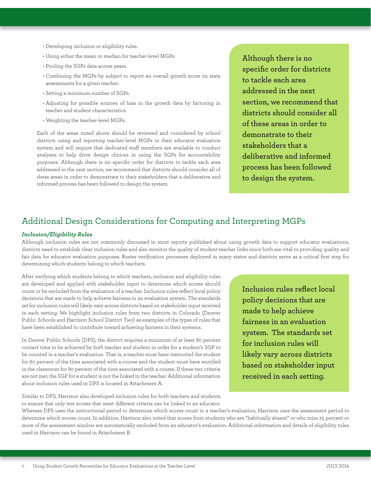- Developing inclusion or eligibility rules.
- Using either the mean or median for teacher-level MGPs.
- Pooling the SGPs data across years.
- Combining the MGPs by subject to report an overall growth score on state assessments for a given teacher.
- Setting a minimum number of SGPs.
- Adjusting for possible sources of bias in the growth data by factoring in teacher and student characteristics.
- Weighting the teacher-level MGPs.

 Each of the areas noted above should be reviewed and considered by school districts using and reporting teacher-level MGPs in their educator evaluation system and will require that dedicated staff members are available to conduct analyses to help drive design choices in using the SGPs for accountability purposes. Although there is no specific order for districts to tackle each area addressed in the next section, we recommend that districts should consider all of these areas in order to demonstrate to their stakeholders that a deliberative and informed process has been followed to design the system.

**Although there is no specific order for districts to tackle each area addressed in the next section, we recommend that districts should consider all of these areas in order to demonstrate to their stakeholders that a deliberative and informed process has been followed to design the system.**

### Additional Design Considerations for Computing and Interpreting MGPs

#### *Inclusion/Eligibility Rules*

Although inclusion rules are not commonly discussed in most reports published about using growth data to support educator evaluations, districts need to establish clear inclusion rules and also monitor the quality of student-teacher links since both are vital to providing quality and fair data for educator evaluation purposes. Roster verification processes deployed in many states and districts serve as a critical first step for determining which students belong to which teachers.

After verifying which students belong to which teachers, inclusion and eligibility rules are developed and applied with stakeholder input to determine which scores should count or be excluded from the evaluation of a teacher. Inclusion rules reflect local policy decisions that are made to help achieve fairness in an evaluation system. The standards set for inclusion rules will likely vary across districts based on stakeholder input received in each setting. We highlight inclusion rules from two districts in Colorado (Denver Public Schools and Harrison School District Two) as examples of the types of rules that have been established to contribute toward achieving fairness in their systems.

In Denver Public Schools (DPS), the district requires a minimum of at least 80 percent contact time to be achieved by *both* teacher and student in order for a student's SGP to be counted in a teacher's evaluation. That is, a teacher must have instructed the student for 80 percent of the time associated with a course and the student must have enrolled in the classroom for 80 percent of the time associated with a course. If these two criteria are not met, the SGP for a student is not the linked to the teacher. Additional information about inclusion rules used in DPS is located in Attachment A.

Similar to DPS, Harrison also developed inclusion rules for both teachers and students to ensure that only test scores that meet different criteria can be linked to an educator. **Inclusion rules reflect local policy decisions that are made to help achieve fairness in an evaluation system. The standards set for inclusion rules will likely vary across districts based on stakeholder input received in each setting.** 

Whereas DPS uses the instructional period to determine which scores count in a teacher's evaluation, Harrison uses the assessment period to determine which scores count. In addition, Harrison also noted that scores from students who are "habitually absent" or who miss 25 percent or more of the assessment window are automatically excluded from an educator's evaluation. Additional information and details of eligibility rules used in Harrison can be found in Attachment B.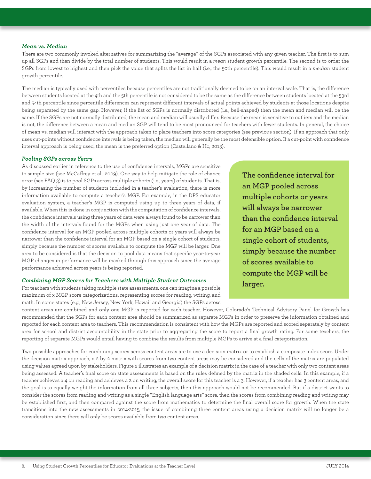#### *Mean vs. Median*

There are two commonly invoked alternatives for summarizing the "average" of the SGPs associated with any given teacher. The first is to sum up all SGPs and then divide by the total number of students. This would result in a *mean* student growth percentile. The second is to order the SGPs from lowest to highest and then pick the value that splits the list in half (i.e., the 50th percentile). This would result in a *median* student growth percentile.

The median is typically used with percentiles because percentiles are not traditionally deemed to be on an interval scale. That is, the difference between students located at the 4th and the 5th percentile is not considered to be the same as the difference between students located at the 53rd and 54th percentile since percentile differences can represent different intervals of actual points achieved by students at those locations despite being separated by the same gap. However, if the list of SGPs is normally distributed (i.e., bell-shaped) then the mean and median will be the same. If the SGPs are not normally distributed, the mean and median will usually differ. Because the mean is sensitive to outliers and the median is not, the difference between a mean and median SGP will tend to be most pronounced for teachers with fewer students. In general, the choice of mean vs. median will interact with the approach taken to place teachers into score categories (see previous section). If an approach that only uses cut-points without confidence intervals is being taken, the median will generally be the most defensible option. If a cut-point with confidence interval approach is being used, the mean is the preferred option (Castellano & Ho, 2013).

#### *Pooling SGPs across Years*

As discussed earlier in reference to the use of confidence intervals, MGPs are sensitive to sample size (see McCaffrey et al., 2009). One way to help mitigate the role of chance error (see FAQ 3) is to pool SGPs across multiple cohorts (i.e., years) of students. That is, by increasing the number of students included in a teacher's evaluation, there is more information available to compute a teacher's MGP. For example, in the DPS educator evaluation system, a teacher's MGP is computed using up to three years of data, if available. When this is done in conjunction with the computation of confidence intervals, the confidence intervals using three years of data were always found to be narrower than the width of the intervals found for the MGPs when using just one year of data. The confidence interval for an MGP pooled across multiple cohorts or years will always be narrower than the confidence interval for an MGP based on a single cohort of students, simply because the number of scores available to compute the MGP will be larger. One area to be considered is that the decision to pool data means that specific year-to-year MGP changes in performance will be masked through this approach since the average performance achieved across years is being reported.

#### *Combining MGP Scores for Teachers with Multiple Student Outcomes*

For teachers with students taking multiple state assessments, one can imagine a possible maximum of 3 MGP score categorizations, representing scores for reading, writing, and math. In some states (e.g., New Jersey, New York, Hawaii and Georgia) the SGPs across

**The confidence interval for an MGP pooled across multiple cohorts or years will always be narrower than the confidence interval for an MGP based on a single cohort of students, simply because the number of scores available to compute the MGP will be larger.**

content areas are combined and only one MGP is reported for each teacher. However, Colorado's Technical Advisory Panel for Growth has recommended that the SGPs for each content area should be summarized as separate MGPs in order to preserve the information obtained and reported for each content area to teachers. This recommendation is consistent with how the MGPs are reported and scored separately by content area for school and district accountability in the state prior to aggregating the score to report a final growth rating. For some teachers, the reporting of separate MGPs would entail having to combine the results from multiple MGPs to arrive at a final categorization.

Two possible approaches for combining scores across content areas are to use a decision matrix or to establish a composite index score. Under the decision matrix approach, a 2 by 2 matrix with scores from two content areas may be considered and the cells of the matrix are populated using values agreed upon by stakeholders. Figure 2 illustrates an example of a decision matrix in the case of a teacher with only two content areas being assessed. A teacher's final score on state assessments is based on the rules defined by the matrix in the shaded cells. In this example, if a teacher achieves a 4 on reading and achieves a 2 on writing, the overall score for this teacher is a 3. However, if a teacher has 3 content areas, and the goal is to equally weight the information from all three subjects, then this approach would not be recommended. But if a district wants to consider the scores from reading and writing as a single "English language arts" score, then the scores from combining reading and writing may be established first, and then compared against the score from mathematics to determine the final overall score for growth. When the state transitions into the new assessments in 2014-2015, the issue of combining three content areas using a decision matrix will no longer be a consideration since there will only be scores available from two content areas.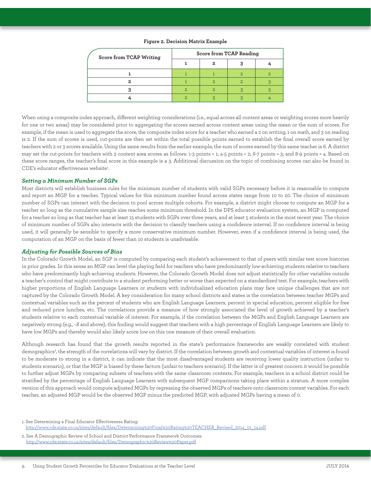| Score from TCAP Writing | Score from TCAP Reading |  |  |  |
|-------------------------|-------------------------|--|--|--|
|                         |                         |  |  |  |
|                         |                         |  |  |  |
|                         |                         |  |  |  |
|                         |                         |  |  |  |
|                         |                         |  |  |  |

#### **Figure 2. Decision Matrix Example**

When using a composite index approach, different weighting considerations (i.e., equal across all content areas or weighting scores more heavily for one or two areas) may be considered prior to aggregating the scores earned across content areas using the mean or the sum of scores. For example, if the mean is used to aggregate the score, the composite index score for a teacher who earned a 2 on writing, 1 on math, and 3 on reading is 2. If the sum of scores is used, cut-points are then set within the total possible points earned to establish the final overall score earned by teachers with 2 or 3 scores available. Using the same results from the earlier example, the sum of scores earned by this same teacher is 6. A district may set the cut-points for teachers with 3 content area scores as follows: 1-3 points = 1; 4-5 points = 2; 6-7 points = 3; and 8-9 points = 4. Based on these score ranges, the teacher's final score in this example is a 3. Additional discussion on the topic of combining scores can also be found in CDE's educator effectiveness website<sup>1</sup>. .

#### *Setting a Minimum Number of SGPs*

Most districts will establish business rules for the minimum number of students with valid SGPs necessary before it is reasonable to compute and report an MGP for a teacher. Typical values for this minimum number found across states range from 10 to 20. The choice of minimum number of SGPs can interact with the decision to pool across multiple cohorts. For example, a district might choose to compute an MGP for a teacher so long as the cumulative sample size reaches some minimum threshold. In the DPS educator evaluation system, an MGP is computed for a teacher so long as that teacher has at least 15 students with SGPs over three years, and at least 5 students in the most recent year. The choice of minimum number of SGPs also interacts with the decision to classify teachers using a confidence interval. If no confidence interval is being used, it will generally be sensible to specify a more conservative minimum number. However, even if a confidence interval is being used, the computation of an MGP on the basis of fewer than 10 students is unadvisable.

#### *Adjusting for Possible Sources of Bias*

In the Colorado Growth Model, an SGP is computed by comparing each student's achievement to that of peers with similar test score histories in prior grades. In this sense an MGP can level the playing field for teachers who have predominantly low-achieving students relative to teachers who have predominantly high-achieving students. However, the Colorado Growth Model does not adjust statistically for other variables outside a teacher's control that might contribute to a student performing better or worse than expected on a standardized test. For example, teachers with higher proportions of English Language Learners or students with individualized education plans may face unique challenges that are not captured by the Colorado Growth Model. A key consideration for many school districts and states is the correlation between teacher MGPs and contextual variables such as the percent of students who are English Language Learners, percent in special education, percent eligible for free and reduced price lunches, etc. The correlations provide a measure of how strongly associated the level of growth achieved by a teacher's students relative to each contextual variable of interest. For example, if the correlation between the MGPs and English Language Learners are negatively strong (e.g., -.8 and above), this finding would suggest that teachers with a high percentage of English Language Learners are likely to have low MGPs and thereby would also likely score low on this one measure of their overall evaluation.

Although research has found that the growth results reported in the state's performance frameworks are weakly correlated with student demographics<sup>2</sup>, the strength of the correlations will vary by district. If the correlation between growth and contextual variables of interest is found to be moderate to strong in a district, it can indicate that the most disadvantaged students are receiving lower quality instruction (unfair to students scenario), or that the MGP is biased by these factors (unfair to teachers scenario). If the latter is of greatest concern it would be possible to further adjust MGPs by comparing subsets of teachers with the same classroom contexts. For example, teachers in a school district could be stratified by the percentage of English Language Learners with subsequent MGP comparisons taking place within a stratum. A more complex version of this approach would compute adjusted MGPs by regressing the observed MGPs of teachers onto classroom context variables. For each teacher, an adjusted MGP would be the observed MGP minus the predicted MGP, with adjusted MGPs having a mean of 0.

1. See Determining a Final Educator Effectiveness Rating: [http://www.cde.state.co.us/sites/default/files/Determining%20Final%20Rating%20TEACHER\\_Revised\\_2014\\_01\\_14.pdf](http://www.cde.state.co.us/sites/default/files/Determining%20Final%20Rating%20TEACHER_Revised_2014_0)

2. See A Demographic Review of School and District Performance Framework Outcomes: <http://www.cde.state.co.us/sites/default/files/Demographic%20Review%20Paper.pdf>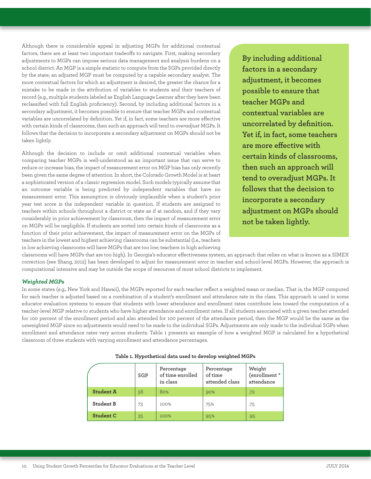Although there is considerable appeal in adjusting MGPs for additional contextual factors, there are at least two important tradeoffs to navigate. First, making secondary adjustments to MGPs can impose serious data management and analysis burdens on a school district. An MGP is a simple statistic to compute from the SGPs provided directly by the state; an adjusted MGP must be computed by a capable secondary analyst. The more contextual factors for which an adjustment is desired, the greater the chance for a mistake to be made in the attribution of variables to students and their teachers of record (e.g., multiple students labeled as English Language Learner after they have been reclassified with full English proficiency). Second, by including additional factors in a secondary adjustment, it becomes possible to ensure that teacher MGPs and contextual variables are uncorrelated by definition. Yet if, in fact, some teachers are more effective with certain kinds of classrooms, then such an approach will tend to *overadjust* MGPs. It follows that the decision to incorporate a secondary adjustment on MGPs should not be taken lightly.

Although the decision to include or omit additional contextual variables when comparing teacher MGPs is well-understood as an important issue that can serve to reduce or increase bias, the impact of measurement error on MGP bias has only recently been given the same degree of attention. In short, the Colorado Growth Model is at heart a sophisticated version of a classic regression model. Such models typically assume that an outcome variable is being predicted by independent variables that have no measurement error. This assumption is obviously implausible when a student's prior year test score is the independent variable in question. If students are assigned to teachers within schools throughout a district or state as if at random, and if they vary considerably in prior achievement by classroom, then the impact of measurement error on MGPs will be negligible. If students are sorted into certain kinds of classrooms as a function of their prior achievement, the impact of measurement error on the MGPs of teachers in the lowest and highest achieving classrooms can be substantial (i.e., teachers in low achieving classrooms will have MGPs that are too low; teachers in high achieving

**By including additional factors in a secondary adjustment, it becomes possible to ensure that teacher MGPs and contextual variables are uncorrelated by definition. Yet if, in fact, some teachers are more effective with certain kinds of classrooms, then such an approach will tend to overadjust MGPs. It follows that the decision to incorporate a secondary adjustment on MGPs should not be taken lightly.** 

classrooms will have MGPs that are too high). In Georgia's educator effectiveness system, an approach that relies on what is known as a SIMEX correction (see Shang, 2012) has been developed to adjust for measurement error in teacher and school-level MGPs. However, the approach is computational intensive and may be outside the scope of resources of most school districts to implement.

#### *Weighted MGPs*

In some states (e.g., New York and Hawaii), the MGPs reported for each teacher reflect a weighted mean or median. That is, the MGP computed for each teacher is adjusted based on a combination of a student's enrollment and attendance rate in the class. This approach is used in some educator evaluation systems to ensure that students with lower attendance and enrollment rates contribute less toward the computation of a teacher-level MGP relative to students who have higher attendance and enrollment rates. If all students associated with a given teacher attended for 100 percent of the enrollment period and also attended for 100 percent of the attendance period, then the MGP would be the same as the unweighted MGP since no adjustments would need to be made to the individual SGPs. Adjustments are only made to the individual SGPs when enrollment and attendance rates vary across students. Table 1 presents an example of how a weighted MGP is calculated for a hypothetical classroom of three students with varying enrollment and attendance percentages.

|                  | SGP | Percentage<br>of time enrolled<br>in class | Percentage<br>of time<br>attended class | Weight<br>(enrollment $^\star$<br>attendance |
|------------------|-----|--------------------------------------------|-----------------------------------------|----------------------------------------------|
| <b>Student A</b> | 56  | 80%                                        | 90%                                     | .72                                          |
| Student B        | 73  | 100%                                       | 75%                                     | .75                                          |
| <b>Student C</b> | 35  | 100%                                       | 95%                                     | .95                                          |

**Table 1. Hypothetical data used to develop weighted MGPs**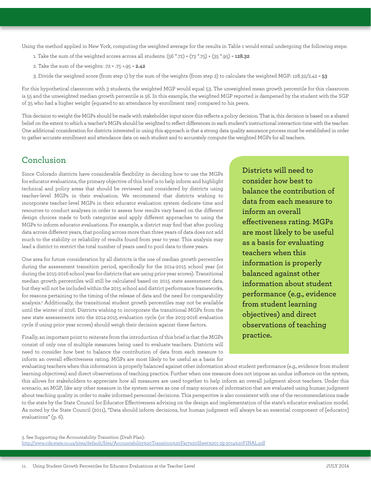Using the method applied in New York, computing the weighted average for the results in Table 1 would entail undergoing the following steps:

- 1. Take the sum of the weighted scores across all students: (56 \*.72) + (73 \*.75) + (35 \*.95) = **128.32**
- 2. Take the sum of the weights: .72 + .75 +.95 = **2.42**
- 3. Divide the weighted score (from step 1) by the sum of the weights (from step 2) to calculate the weighted MGP: 128.32/2.42 = **53**

For this hypothetical classroom with 3 students, the weighted MGP would equal 53. The unweighted mean growth percentile for this classroom is 55 and the unweighted median growth percentile is 56. In this example, the weighted MGP reported is dampened by the student with the SGP of 35 who had a higher weight (equated to an attendance by enrollment rate) compared to his peers.

This decision to weight the MGPs should be made with stakeholder input since this reflects a policy decision. That is, this decision is based on a shared belief on the extent to which a teacher's MGPs should be weighted to reflect differences in each student's instructional interaction time with the teacher. One additional consideration for districts interested in using this approach is that a strong data quality assurance process must be established in order to gather accurate enrollment and attendance data on each student and to accurately compute the weighted MGPs for all teachers.

### Conclusion

Since Colorado districts have considerable flexibility in deciding how to use the MGPs for educator evaluations, the primary objective of this brief is to help inform and highlight technical and policy areas that should be reviewed and considered by districts using teacher-level MGPs in their evaluation. We recommend that districts wishing to incorporate teacher-level MGPs in their educator evaluation system dedicate time and resources to conduct analyses in order to assess how results vary based on the different design choices made to both categorize and apply different approaches to using the MGPs to inform educator evaluations. For example, a district may find that after pooling data across different years, that pooling across more than three years of data does not add much to the stability or reliability of results found from year to year. This analysis may lead a district to restrict the total number of years used to pool data to three years.

One area for future consideration by all districts is the use of median growth percentiles during the assessment transition period, specifically for the 2014-2015 school year (or during the 2015-2016 school year for districts that are using prior year scores). Transitional median growth percentiles will still be calculated based on 2015 state assessment data, but they will not be included within the 2015 school and district performance frameworks, for reasons pertaining to the timing of the release of data and the need for comparability analysis.3 Additionally, the transitional student growth percentiles may not be available until the winter of 2016. Districts wishing to incorporate the transitional MGPs from the new state assessments into the 2014-2015 evaluation cycle (or the 2015-2016 evaluation cycle if using prior year scores) should weigh their decision against these factors.

Finally, an important point to reiterate from the introduction of this brief is that the MGPs consist of only one of multiple measures being used to evaluate teachers. Districts will need to consider how best to balance the contribution of data from each measure to inform an overall effectiveness rating. MGPs are most likely to be useful as a basis for

**Districts will need to consider how best to balance the contribution of data from each measure to inform an overall effectiveness rating. MGPs are most likely to be useful as a basis for evaluating teachers when this information is properly balanced against other information about student performance (e.g., evidence from student learning objectives) and direct observations of teaching practice.**

evaluating teachers when this information is properly balanced against other information about student performance (e.g., evidence from student learning objectives) and direct observations of teaching practice. Further when one measure does not impose an undue influence on the system, this allows for stakeholders to appreciate how all measures are used together to help inform an overall judgment about teachers. Under this scenario, an MGP, like any other measure in the system serves as one of many sources of information that are evaluated using human judgment about teaching quality in order to make informed personnel decisions. This perspective is also consistent with one of the recommendations made to the state by the State Council for Educator Effectiveness advising on the design and implementation of the state's educator evaluation model. As noted by the State Council (2011), "Data should inform decisions, but human judgment will always be an essential component of [educator] evaluations" (p. 6).

3. See Supporting the Accountability Transition (Draft Plan): [http://www.cde.state.co.us/sites/default/files/Accountability%20Transition%20Fact%20Sheet%201-29-2014%20FINAL.pdf](http://www.cde.state.co.us/sites/default/files/Accountability%20Transition%20Fact%20Sheet%201-29-201)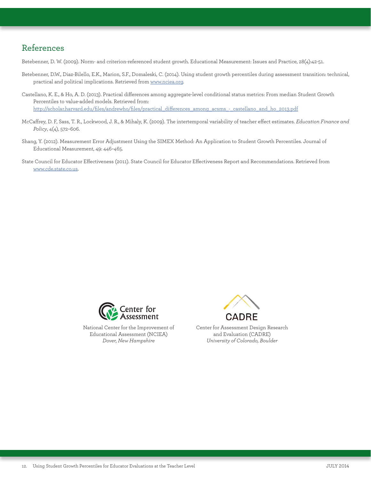### References

Betebenner, D. W. (2009). Norm- and criterion-referenced student growth. Educational Measurement: Issues and Practice, 28(4):42-51.

- Betebenner, D.W., Diaz-Bilello, E.K., Marion, S.F., Domaleski, C. (2014). Using student growth percentiles during assessment transition: technical, practical and political implications. Retrieved from [www.nciea.org](http://www.nciea.org).
- Castellano, K. E., & Ho, A. D. (2013). Practical differences among aggregate-level conditional status metrics: From median Student Growth Percentiles to value-added models. Retrieved from: [http://scholar.harvard.edu/files/andrewho/files/practical\\_differences\\_among\\_acsms\\_-\\_castellano\\_and\\_ho\\_2013.pdf](http://scholar.harvard.edu/files/andrewho/files/practical_differences_among_acsms_-_castellano_and_h)
- McCaffrey, D. F, Sass, T. R., Lockwood, J. R., & Mihaly, K. (2009). The intertemporal variability of teacher effect estimates. *Education Finance and Policy*, 4(4), 572–606.
- Shang, Y. (2012). Measurement Error Adjustment Using the SIMEX Method: An Application to Student Growth Percentiles. Journal of Educational Measurement, 49: 446–465.
- State Council for Educator Effectiveness (2011). State Council for Educator Effectiveness Report and Recommendations. Retrieved from [www.cde.state.co.us](http://www.cde.state.co.us).



National Center for the Improvement of Educational Assessment (NCIEA) *Dover, New Hampshire*



Center for Assessment Design Research and Evaluation (CADRE) *University of Colorado, Boulder*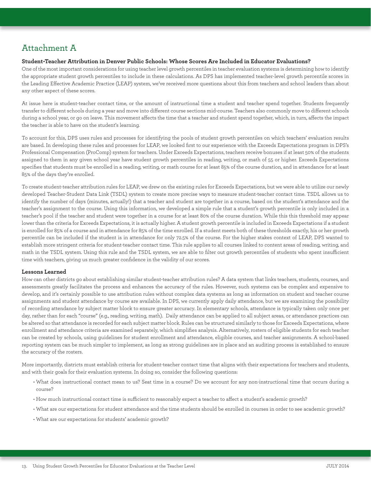# Attachment A

#### **Student-Teacher Attribution in Denver Public Schools: Whose Scores Are Included in Educator Evaluations?**

One of the most important considerations for using teacher level growth percentiles in teacher evaluation systems is determining how to identify the appropriate student growth percentiles to include in these calculations. As DPS has implemented teacher-level growth percentile scores in the Leading Effective Academic Practice (LEAP) system, we've received more questions about this from teachers and school leaders than about any other aspect of these scores.

At issue here is student-teacher contact time, or the amount of instructional time a student and teacher spend together. Students frequently transfer to different schools during a year and move into different course sections mid-course. Teachers also commonly move to different schools during a school year, or go on leave. This movement affects the time that a teacher and student spend together, which, in turn, affects the impact the teacher is able to have on the student's learning.

To account for this, DPS uses rules and processes for identifying the pools of student growth percentiles on which teachers' evaluation results are based. In developing these rules and processes for LEAP, we looked first to our experience with the Exceeds Expectations program in DPS's Professional Compensation (ProComp) system for teachers. Under Exceeds Expectations, teachers receive bonuses if at least 50% of the students assigned to them in any given school year have student growth percentiles in reading, writing, or math of 55 or higher. Exceeds Expectations specifies that students must be enrolled in a reading, writing, or math course for at least 85% of the course duration, and in attendance for at least 85% of the days they're enrolled.

To create student-teacher attribution rules for LEAP, we drew on the existing rules for Exceeds Expectations, but we were able to utilize our newly developed Teacher-Student Data Link (TSDL) system to create more precise ways to measure student-teacher contact time. TSDL allows us to identify the number of days (minutes, actually!) that a teacher and student are together in a course, based on the student's attendance and the teacher's assignment to the course. Using this information, we developed a simple rule that a student's growth percentile is only included in a teacher's pool if the teacher and student were together in a course for at least 80% of the course duration. While this this threshold may appear lower than the criteria for Exceeds Expectations, it is actually higher. A student growth percentile is included in Exceeds Expectations if a student is enrolled for 85% of a course and in attendance for 85% of the time enrolled. If a student meets both of these thresholds exactly, his or her growth percentile can be included if the student is in attendance for only 72.5% of the course. For the higher stakes context of LEAP, DPS wanted to establish more stringent criteria for student-teacher contact time. This rule applies to all courses linked to content areas of reading, writing, and math in the TSDL system. Using this rule and the TSDL system, we are able to filter out growth percentiles of students who spent insufficient time with teachers, giving us much greater confidence in the validity of our scores.

#### **Lessons Learned**

How can other districts go about establishing similar student-teacher attribution rules? A data system that links teachers, students, courses, and assessments greatly facilitates the process and enhances the accuracy of the rules. However, such systems can be complex and expensive to develop, and it's certainly possible to use attribution rules without complex data systems as long as information on student and teacher course assignments and student attendance by course are available. In DPS, we currently apply daily attendance, but we are examining the possibility of recording attendance by subject matter block to ensure greater accuracy. In elementary schools, attendance is typically taken only once per day, rather than for each "course" (e.g., reading, writing, math). Daily attendance can be applied to all subject areas, or attendance practices can be altered so that attendance is recorded for each subject matter block. Rules can be structured similarly to those for Exceeds Expectations, where enrollment and attendance criteria are examined separately, which simplifies analysis. Alternatively, rosters of eligible students for each teacher can be created by schools, using guidelines for student enrollment and attendance, eligible courses, and teacher assignments. A school-based reporting system can be much simpler to implement, as long as strong guidelines are in place and an auditing process is established to ensure the accuracy of the rosters.

More importantly, districts must establish criteria for student-teacher contact time that aligns with their expectations for teachers and students, and with their goals for their evaluation systems. In doing so, consider the following questions:

- What does instructional contact mean to us? Seat time in a course? Do we account for any non-instructional time that occurs during a course?
- How much instructional contact time is sufficient to reasonably expect a teacher to affect a student's academic growth?
- What are our expectations for student attendance and the time students should be enrolled in courses in order to see academic growth?
- What are our expectations for students' academic growth?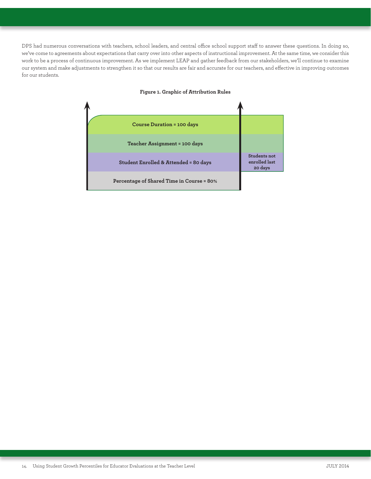DPS had numerous conversations with teachers, school leaders, and central office school support staff to answer these questions. In doing so, we've come to agreements about expectations that carry over into other aspects of instructional improvement. At the same time, we consider this work to be a process of continuous improvement. As we implement LEAP and gather feedback from our stakeholders, we'll continue to examine our system and make adjustments to strengthen it so that our results are fair and accurate for our teachers, and effective in improving outcomes for our students.



#### **Figure 1. Graphic of Attribution Rules**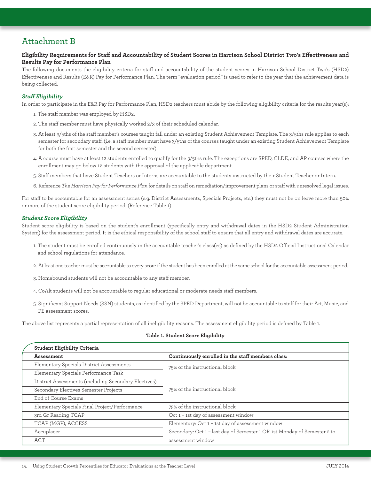# Attachment B

#### **Eligibility Requirements for Staff and Accountability of Student Scores in Harrison School District Two's Effectiveness and Results Pay for Performance Plan**

The following documents the eligibility criteria for staff and accountability of the student scores in Harrison School District Two's (HSD2) Effectiveness and Results (E&R) Pay for Performance Plan. The term "evaluation period" is used to refer to the year that the achievement data is being collected.

#### *Staff Eligibility*

In order to participate in the E&R Pay for Performance Plan, HSD2 teachers must abide by the following eligibility criteria for the results year(s):

- 1. The staff member was employed by HSD2.
- 2. The staff member must have physically worked 2/3 of their scheduled calendar.
- 3. At least 3/5ths of the staff member's courses taught fall under an existing Student Achievement Template. The 3/5ths rule applies to each semester for secondary staff. (i.e. a staff member must have 3/5ths of the courses taught under an existing Student Achievement Template for both the first semester and the second semester).
- 4. A course must have at least 12 students enrolled to qualify for the 3/5ths rule. The exceptions are SPED, CLDE, and AP courses where the enrollment may go below 12 students with the approval of the applicable department.
- 5. Staff members that have Student Teachers or Interns are accountable to the students instructed by their Student Teacher or Intern.
- 6. Reference *The Harrison Pay for Performance Plan* for details on staff on remediation/improvement plans or staff with unresolved legal issues.

For staff to be accountable for an assessment series (e.g. District Assessments, Specials Projects, etc.) they must not be on leave more than 50% or more of the student score eligibility period. (Reference Table 1)

#### *Student Score Eligibility*

Student score eligibility is based on the student's enrollment (specifically entry and withdrawal dates in the HSD2 Student Administration System) for the assessment period. It is the ethical responsibility of the school staff to ensure that all entry and withdrawal dates are accurate.

- 1. The student must be enrolled continuously in the accountable teacher's class(es) as defined by the HSD2 Official Instructional Calendar and school regulations for attendance.
- 2. At least one teacher must be accountable to every score if the student has been enrolled at the same school for the accountable assessment period.
- 3. Homebound students will not be accountable to any staff member.
- 4. CoAlt students will not be accountable to regular educational or moderate needs staff members.
- 5. Significant Support Needs (SSN) students, as identified by the SPED Department, will not be accountable to staff for their Art, Music, and PE assessment scores.

The above list represents a partial representation of all ineligibility reasons. The assessment eligibility period is defined by Table 1.

#### **Table 1. Student Score Eligibility**

| Student Eligibility Criteria                         |                                                                          |  |  |
|------------------------------------------------------|--------------------------------------------------------------------------|--|--|
| <b>Assessment</b>                                    | Continuously enrolled in the staff members class:                        |  |  |
| Elementary Specials District Assessments             | 75% of the instructional block                                           |  |  |
| Elementary Specials Performance Task                 |                                                                          |  |  |
| District Assessments (including Secondary Electives) |                                                                          |  |  |
| Secondary Electives Semester Projects                | 75% of the instructional block                                           |  |  |
| End of Course Exams                                  |                                                                          |  |  |
| Elementary Specials Final Project/Performance        | 75% of the instructional block                                           |  |  |
| 3rd Gr Reading TCAP                                  | Oct 1 - 1st day of assessment window                                     |  |  |
| TCAP (MGP), ACCESS                                   | Elementary: Oct 1 - 1st day of assessment window                         |  |  |
| Accuplacer                                           | Secondary: Oct 1 - last day of Semester 1 OR 1st Monday of Semester 2 to |  |  |
| ACT                                                  | assessment window                                                        |  |  |